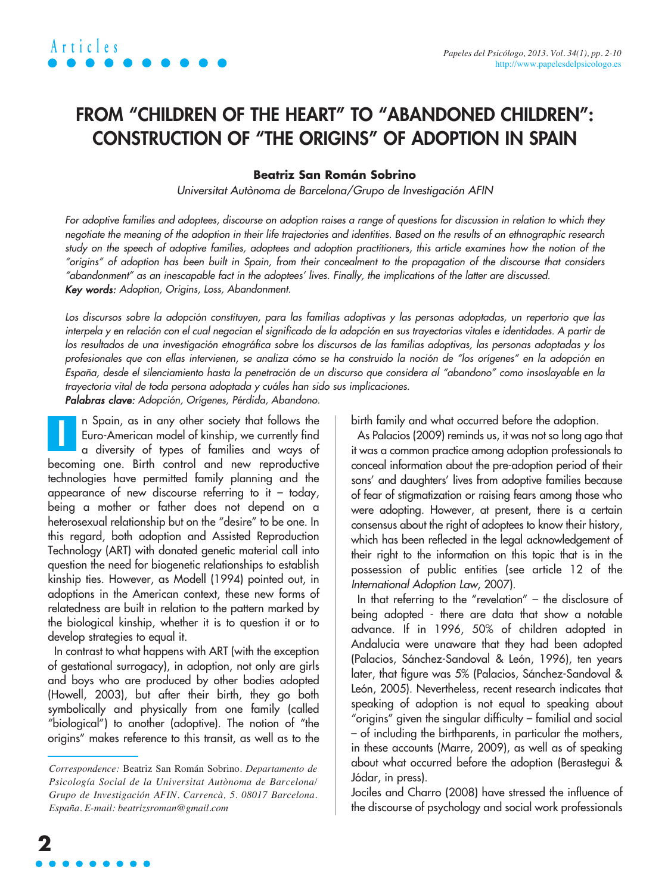### **FROM "CHILDREN OF THE HEART" TO "ABANDONED CHILDREN": CONSTRUCTION OF "THE ORIGINS" OF ADOPTION IN SPAIN**

#### **Beatriz San Román Sobrino**

Universitat Autònoma de Barcelona/Grupo de Investigación AFIN

For adoptive families and adoptees, discourse on adoption raises a range of questions for discussion in relation to which they negotiate the meaning of the adoption in their life trajectories and identities. Based on the results of an ethnographic research study on the speech of adoptive families, adoptees and adoption practitioners, this article examines how the notion of the "origins" of adoption has been built in Spain, from their concealment to the propagation of the discourse that considers "abandonment" as an inescapable fact in the adoptees' lives. Finally, the implications of the latter are discussed. Key words: Adoption, Origins, Loss, Abandonment.

Los discursos sobre la adopción constituyen, para las familias adoptivas y las personas adoptadas, un repertorio que las interpela y en relación con el cual negocian el significado de la adopción en sus trayectorias vitales e identidades. A partir de los resultados de una investigación etnográfica sobre los discursos de las familias adoptivas, las personas adoptadas y los profesionales que con ellas intervienen, se analiza cómo se ha construido la noción de "los orígenes" en la adopción en España, desde el silenciamiento hasta la penetración de un discurso que considera al "abandono" como insoslayable en la trayectoria vital de toda persona adoptada y cuáles han sido sus implicaciones.

Palabras clave: Adopción, Orígenes, Pérdida, Abandono.

n Spain, as in any other society that follows the Euro-American model of kinship, we currently find a diversity of types of families and ways of becoming one. Birth control and new reproductive technologies have permitted family planning and the appearance of new discourse referring to it – today, being a mother or father does not depend on a heterosexual relationship but on the "desire" to be one. In this regard, both adoption and Assisted Reproduction Technology (ART) with donated genetic material call into question the need for biogenetic relationships to establish kinship ties. However, as Modell (1994) pointed out, in adoptions in the American context, these new forms of relatedness are built in relation to the pattern marked by the biological kinship, whether it is to question it or to develop strategies to equal it. **I**

In contrast to what happens with ART (with the exception of gestational surrogacy), in adoption, not only are girls and boys who are produced by other bodies adopted (Howell, 2003), but after their birth, they go both symbolically and physically from one family (called "biological") to another (adoptive). The notion of "the origins" makes reference to this transit, as well as to the

birth family and what occurred before the adoption.

As Palacios (2009) reminds us, it was not so long ago that it was a common practice among adoption professionals to conceal information about the pre-adoption period of their sons' and daughters' lives from adoptive families because of fear of stigmatization or raising fears among those who were adopting. However, at present, there is a certain consensus about the right of adoptees to know their history, which has been reflected in the legal acknowledgement of their right to the information on this topic that is in the possession of public entities (see article 12 of the International Adoption Law, 2007).

In that referring to the "revelation" – the disclosure of being adopted - there are data that show a notable advance. If in 1996, 50% of children adopted in Andalucia were unaware that they had been adopted (Palacios, Sánchez-Sandoval & León, 1996), ten years later, that figure was 5% (Palacios, Sánchez-Sandoval & León, 2005). Nevertheless, recent research indicates that speaking of adoption is not equal to speaking about "origins" given the singular difficulty – familial and social – of including the birthparents, in particular the mothers, in these accounts (Marre, 2009), as well as of speaking about what occurred before the adoption (Berastegui & Jódar, in press).

Jociles and Charro (2008) have stressed the influence of the discourse of psychology and social work professionals

*Correspondence:* Beatriz San Román Sobrino. *Departamento de Psicología Social de la Universitat Autònoma de Barcelona/ Grupo de Investigación AFIN. Carrencà, 5. 08017 Barcelona. España. E-mail: beatrizsroman@gmail.com*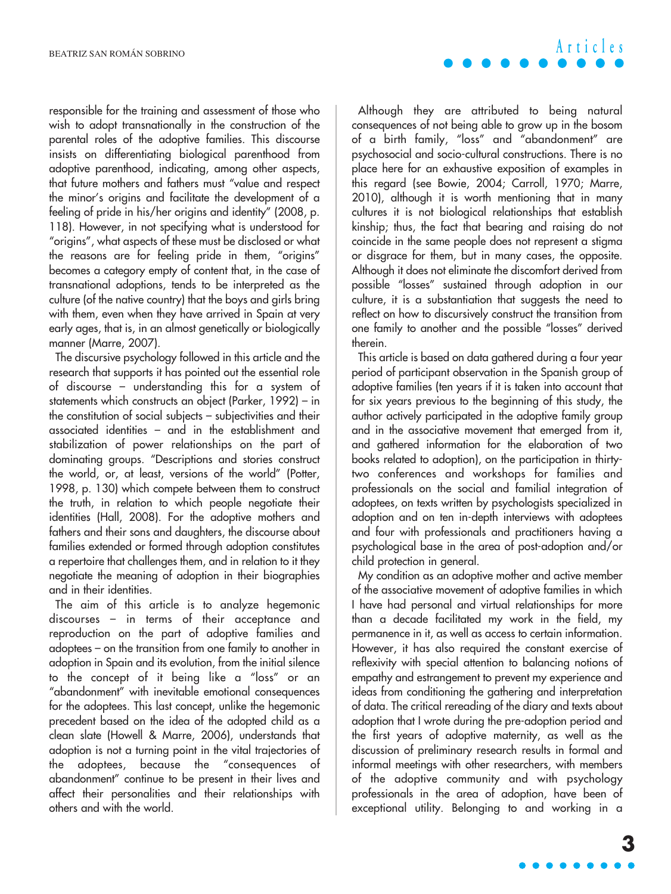responsible for the training and assessment of those who wish to adopt transnationally in the construction of the parental roles of the adoptive families. This discourse insists on differentiating biological parenthood from adoptive parenthood, indicating, among other aspects, that future mothers and fathers must "value and respect the minor's origins and facilitate the development of a feeling of pride in his/her origins and identity" (2008, p. 118). However, in not specifying what is understood for "origins", what aspects of these must be disclosed or what the reasons are for feeling pride in them, "origins" becomes a category empty of content that, in the case of transnational adoptions, tends to be interpreted as the culture (of the native country) that the boys and girls bring with them, even when they have arrived in Spain at very early ages, that is, in an almost genetically or biologically manner (Marre, 2007).

The discursive psychology followed in this article and the research that supports it has pointed out the essential role of discourse – understanding this for a system of statements which constructs an object (Parker, 1992) – in the constitution of social subjects – subjectivities and their associated identities – and in the establishment and stabilization of power relationships on the part of dominating groups. "Descriptions and stories construct the world, or, at least, versions of the world" (Potter, 1998, p. 130) which compete between them to construct the truth, in relation to which people negotiate their identities (Hall, 2008). For the adoptive mothers and fathers and their sons and daughters, the discourse about families extended or formed through adoption constitutes a repertoire that challenges them, and in relation to it they negotiate the meaning of adoption in their biographies and in their identities.

The aim of this article is to analyze hegemonic discourses – in terms of their acceptance and reproduction on the part of adoptive families and adoptees – on the transition from one family to another in adoption in Spain and its evolution, from the initial silence to the concept of it being like a "loss" or an "abandonment" with inevitable emotional consequences for the adoptees. This last concept, unlike the hegemonic precedent based on the idea of the adopted child as a clean slate (Howell & Marre, 2006), understands that adoption is not a turning point in the vital trajectories of the adoptees, because the "consequences of abandonment" continue to be present in their lives and affect their personalities and their relationships with others and with the world.

Although they are attributed to being natural consequences of not being able to grow up in the bosom of a birth family, "loss" and "abandonment" are psychosocial and socio-cultural constructions. There is no place here for an exhaustive exposition of examples in this regard (see Bowie, 2004; Carroll, 1970; Marre, 2010), although it is worth mentioning that in many cultures it is not biological relationships that establish kinship; thus, the fact that bearing and raising do not coincide in the same people does not represent a stigma or disgrace for them, but in many cases, the opposite. Although it does not eliminate the discomfort derived from possible "losses" sustained through adoption in our culture, it is a substantiation that suggests the need to reflect on how to discursively construct the transition from one family to another and the possible "losses" derived therein.

This article is based on data gathered during a four year period of participant observation in the Spanish group of adoptive families (ten years if it is taken into account that for six years previous to the beginning of this study, the author actively participated in the adoptive family group and in the associative movement that emerged from it, and gathered information for the elaboration of two books related to adoption), on the participation in thirtytwo conferences and workshops for families and professionals on the social and familial integration of adoptees, on texts written by psychologists specialized in adoption and on ten in-depth interviews with adoptees and four with professionals and practitioners having a psychological base in the area of post-adoption and/or child protection in general.

My condition as an adoptive mother and active member of the associative movement of adoptive families in which I have had personal and virtual relationships for more than a decade facilitated my work in the field, my permanence in it, as well as access to certain information. However, it has also required the constant exercise of reflexivity with special attention to balancing notions of empathy and estrangement to prevent my experience and ideas from conditioning the gathering and interpretation of data. The critical rereading of the diary and texts about adoption that I wrote during the pre-adoption period and the first years of adoptive maternity, as well as the discussion of preliminary research results in formal and informal meetings with other researchers, with members of the adoptive community and with psychology professionals in the area of adoption, have been of exceptional utility. Belonging to and working in a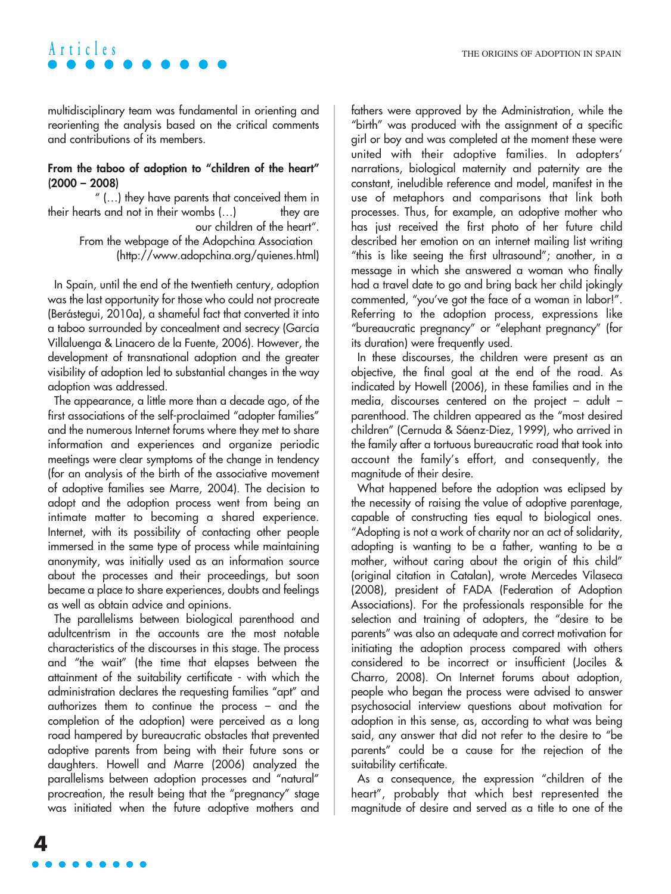multidisciplinary team was fundamental in orienting and reorienting the analysis based on the critical comments and contributions of its members.

#### **From the taboo of adoption to "children of the heart" (2000 – 2008)**

" (…) they have parents that conceived them in their hearts and not in their wombs (...) they are our children of the heart".

> From the webpage of the Adopchina Association (http://www.adopchina.org/quienes.html)

In Spain, until the end of the twentieth century, adoption was the last opportunity for those who could not procreate (Berástegui, 2010a), a shameful fact that converted it into a taboo surrounded by concealment and secrecy (García Villaluenga & Linacero de la Fuente, 2006). However, the development of transnational adoption and the greater visibility of adoption led to substantial changes in the way adoption was addressed.

The appearance, a little more than a decade ago, of the first associations of the self-proclaimed "adopter families" and the numerous Internet forums where they met to share information and experiences and organize periodic meetings were clear symptoms of the change in tendency (for an analysis of the birth of the associative movement of adoptive families see Marre, 2004). The decision to adopt and the adoption process went from being an intimate matter to becoming a shared experience. Internet, with its possibility of contacting other people immersed in the same type of process while maintaining anonymity, was initially used as an information source about the processes and their proceedings, but soon became a place to share experiences, doubts and feelings as well as obtain advice and opinions.

The parallelisms between biological parenthood and adultcentrism in the accounts are the most notable characteristics of the discourses in this stage. The process and "the wait" (the time that elapses between the attainment of the suitability certificate - with which the administration declares the requesting families "apt" and authorizes them to continue the process – and the completion of the adoption) were perceived as a long road hampered by bureaucratic obstacles that prevented adoptive parents from being with their future sons or daughters. Howell and Marre (2006) analyzed the parallelisms between adoption processes and "natural" procreation, the result being that the "pregnancy" stage was initiated when the future adoptive mothers and fathers were approved by the Administration, while the "birth" was produced with the assignment of a specific girl or boy and was completed at the moment these were united with their adoptive families. In adopters' narrations, biological maternity and paternity are the constant, ineludible reference and model, manifest in the use of metaphors and comparisons that link both processes. Thus, for example, an adoptive mother who has just received the first photo of her future child described her emotion on an internet mailing list writing "this is like seeing the first ultrasound"; another, in a message in which she answered a woman who finally had a travel date to go and bring back her child jokingly commented, "you've got the face of a woman in labor!". Referring to the adoption process, expressions like "bureaucratic pregnancy" or "elephant pregnancy" (for its duration) were frequently used.

In these discourses, the children were present as an objective, the final goal at the end of the road. As indicated by Howell (2006), in these families and in the media, discourses centered on the project – adult – parenthood. The children appeared as the "most desired children" (Cernuda & Sáenz-Diez, 1999), who arrived in the family after a tortuous bureaucratic road that took into account the family's effort, and consequently, the magnitude of their desire.

What happened before the adoption was eclipsed by the necessity of raising the value of adoptive parentage, capable of constructing ties equal to biological ones. "Adopting is not a work of charity nor an act of solidarity, adopting is wanting to be a father, wanting to be a mother, without caring about the origin of this child" (original citation in Catalan), wrote Mercedes Vilaseca (2008), president of FADA (Federation of Adoption Associations). For the professionals responsible for the selection and training of adopters, the "desire to be parents" was also an adequate and correct motivation for initiating the adoption process compared with others considered to be incorrect or insufficient (Jociles & Charro, 2008). On Internet forums about adoption, people who began the process were advised to answer psychosocial interview questions about motivation for adoption in this sense, as, according to what was being said, any answer that did not refer to the desire to "be parents" could be a cause for the rejection of the suitability certificate.

As a consequence, the expression "children of the heart", probably that which best represented the magnitude of desire and served as a title to one of the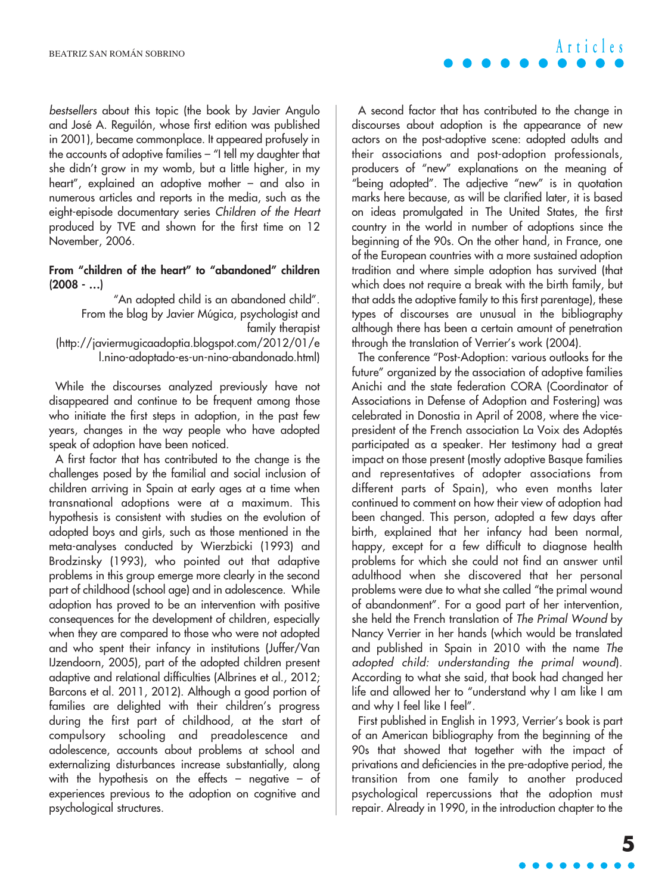bestsellers about this topic (the book by Javier Angulo and José A. Reguilón, whose first edition was published in 2001), became commonplace. It appeared profusely in the accounts of adoptive families – "I tell my daughter that she didn't grow in my womb, but a little higher, in my heart", explained an adoptive mother – and also in numerous articles and reports in the media, such as the eight-episode documentary series Children of the Heart produced by TVE and shown for the first time on 12 November, 2006.

#### **From "children of the heart" to "abandoned" children (2008 - …)**

"An adopted child is an abandoned child". From the blog by Javier Múgica, psychologist and family therapist (http://javiermugicaadoptia.blogspot.com/2012/01/e l.nino-adoptado-es-un-nino-abandonado.html)

While the discourses analyzed previously have not disappeared and continue to be frequent among those who initiate the first steps in adoption, in the past few years, changes in the way people who have adopted speak of adoption have been noticed.

A first factor that has contributed to the change is the challenges posed by the familial and social inclusion of children arriving in Spain at early ages at a time when transnational adoptions were at a maximum. This hypothesis is consistent with studies on the evolution of adopted boys and girls, such as those mentioned in the meta-analyses conducted by Wierzbicki (1993) and Brodzinsky (1993), who pointed out that adaptive problems in this group emerge more clearly in the second part of childhood (school age) and in adolescence. While adoption has proved to be an intervention with positive consequences for the development of children, especially when they are compared to those who were not adopted and who spent their infancy in institutions (Juffer/Van IJzendoorn, 2005), part of the adopted children present adaptive and relational difficulties (Albrines et al., 2012; Barcons et al. 2011, 2012). Although a good portion of families are delighted with their children's progress during the first part of childhood, at the start of compulsory schooling and preadolescence and adolescence, accounts about problems at school and externalizing disturbances increase substantially, along with the hypothesis on the effects – negative – of experiences previous to the adoption on cognitive and psychological structures.

A second factor that has contributed to the change in discourses about adoption is the appearance of new actors on the post-adoptive scene: adopted adults and their associations and post-adoption professionals, producers of "new" explanations on the meaning of "being adopted". The adjective "new" is in quotation marks here because, as will be clarified later, it is based on ideas promulgated in The United States, the first country in the world in number of adoptions since the beginning of the 90s. On the other hand, in France, one of the European countries with a more sustained adoption tradition and where simple adoption has survived (that which does not require a break with the birth family, but that adds the adoptive family to this first parentage), these types of discourses are unusual in the bibliography although there has been a certain amount of penetration through the translation of Verrier's work (2004).

The conference "Post-Adoption: various outlooks for the future" organized by the association of adoptive families Anichi and the state federation CORA (Coordinator of Associations in Defense of Adoption and Fostering) was celebrated in Donostia in April of 2008, where the vicepresident of the French association La Voix des Adoptés participated as a speaker. Her testimony had a great impact on those present (mostly adoptive Basque families and representatives of adopter associations from different parts of Spain), who even months later continued to comment on how their view of adoption had been changed. This person, adopted a few days after birth, explained that her infancy had been normal, happy, except for a few difficult to diagnose health problems for which she could not find an answer until adulthood when she discovered that her personal problems were due to what she called "the primal wound of abandonment". For a good part of her intervention, she held the French translation of The Primal Wound by Nancy Verrier in her hands (which would be translated and published in Spain in 2010 with the name The adopted child: understanding the primal wound). According to what she said, that book had changed her life and allowed her to "understand why I am like I am and why I feel like I feel".

First published in English in 1993, Verrier's book is part of an American bibliography from the beginning of the 90s that showed that together with the impact of privations and deficiencies in the pre-adoptive period, the transition from one family to another produced psychological repercussions that the adoption must repair. Already in 1990, in the introduction chapter to the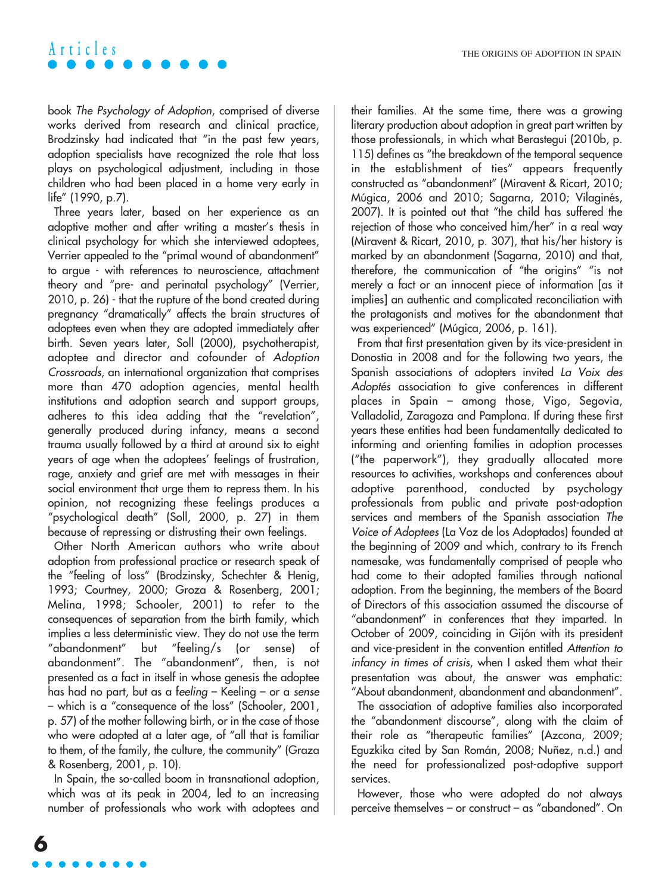book The Psychology of Adoption, comprised of diverse works derived from research and clinical practice, Brodzinsky had indicated that "in the past few years, adoption specialists have recognized the role that loss plays on psychological adjustment, including in those children who had been placed in a home very early in life" (1990, p.7).

Three years later, based on her experience as an adoptive mother and after writing a master's thesis in clinical psychology for which she interviewed adoptees, Verrier appealed to the "primal wound of abandonment" to argue - with references to neuroscience, attachment theory and "pre- and perinatal psychology" (Verrier, 2010, p. 26) - that the rupture of the bond created during pregnancy "dramatically" affects the brain structures of adoptees even when they are adopted immediately after birth. Seven years later, Soll (2000), psychotherapist, adoptee and director and cofounder of Adoption Crossroads, an international organization that comprises more than 470 adoption agencies, mental health institutions and adoption search and support groups, adheres to this idea adding that the "revelation", generally produced during infancy, means a second trauma usually followed by a third at around six to eight years of age when the adoptees' feelings of frustration, rage, anxiety and grief are met with messages in their social environment that urge them to repress them. In his opinion, not recognizing these feelings produces a "psychological death" (Soll, 2000, p. 27) in them because of repressing or distrusting their own feelings.

Other North American authors who write about adoption from professional practice or research speak of the "feeling of loss" (Brodzinsky, Schechter & Henig, 1993; Courtney, 2000; Groza & Rosenberg, 2001; Melina, 1998; Schooler, 2001) to refer to the consequences of separation from the birth family, which implies a less deterministic view. They do not use the term "abandonment" but "feeling/s (or sense) of abandonment". The "abandonment", then, is not presented as a fact in itself in whose genesis the adoptee has had no part, but as a feeling – Keeling – or a sense – which is a "consequence of the loss" (Schooler, 2001, p. 57) of the mother following birth, or in the case of those who were adopted at a later age, of "all that is familiar to them, of the family, the culture, the community" (Graza & Rosenberg, 2001, p. 10).

In Spain, the so-called boom in transnational adoption, which was at its peak in 2004, led to an increasing number of professionals who work with adoptees and their families. At the same time, there was a growing literary production about adoption in great part written by those professionals, in which what Berastegui (2010b, p. 115) defines as "the breakdown of the temporal sequence in the establishment of ties" appears frequently constructed as "abandonment" (Miravent & Ricart, 2010; Múgica, 2006 and 2010; Sagarna, 2010; Vilaginés, 2007). It is pointed out that "the child has suffered the rejection of those who conceived him/her" in a real way (Miravent & Ricart, 2010, p. 307), that his/her history is marked by an abandonment (Sagarna, 2010) and that, therefore, the communication of "the origins" "is not merely a fact or an innocent piece of information [as it implies] an authentic and complicated reconciliation with the protagonists and motives for the abandonment that was experienced" (Múgica, 2006, p. 161).

From that first presentation given by its vice-president in Donostia in 2008 and for the following two years, the Spanish associations of adopters invited La Voix des Adoptés association to give conferences in different places in Spain – among those, Vigo, Segovia, Valladolid, Zaragoza and Pamplona. If during these first years these entities had been fundamentally dedicated to informing and orienting families in adoption processes ("the paperwork"), they gradually allocated more resources to activities, workshops and conferences about adoptive parenthood, conducted by psychology professionals from public and private post-adoption services and members of the Spanish association The Voice of Adoptees (La Voz de los Adoptados) founded at the beginning of 2009 and which, contrary to its French namesake, was fundamentally comprised of people who had come to their adopted families through national adoption. From the beginning, the members of the Board of Directors of this association assumed the discourse of "abandonment" in conferences that they imparted. In October of 2009, coinciding in Gijón with its president and vice-president in the convention entitled Attention to infancy in times of crisis, when I asked them what their presentation was about, the answer was emphatic: "About abandonment, abandonment and abandonment".

The association of adoptive families also incorporated the "abandonment discourse", along with the claim of their role as "therapeutic families" (Azcona, 2009; Eguzkika cited by San Román, 2008; Nuñez, n.d.) and the need for professionalized post-adoptive support services.

However, those who were adopted do not always perceive themselves – or construct – as "abandoned". On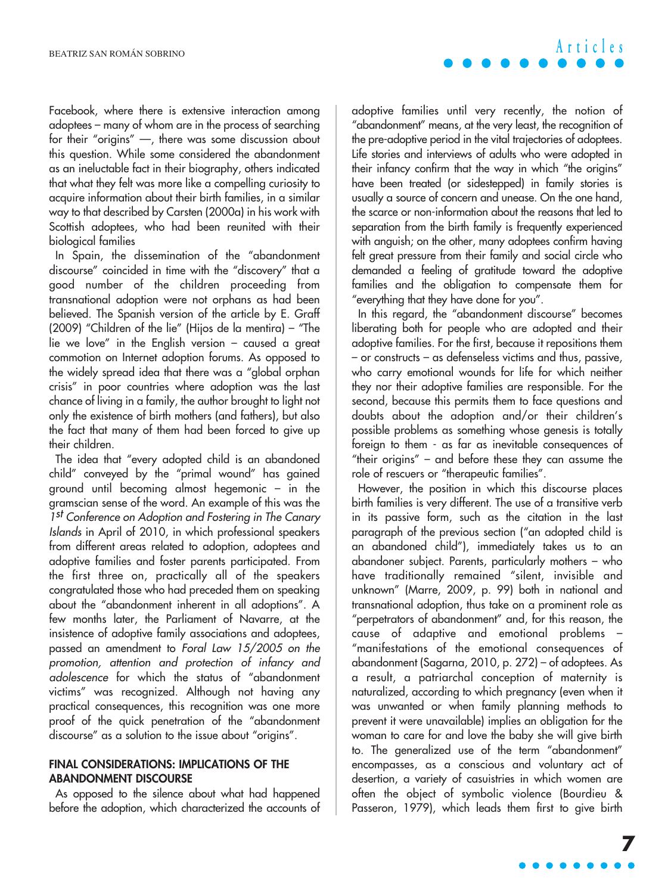Facebook, where there is extensive interaction among adoptees – many of whom are in the process of searching for their "origins" —, there was some discussion about this question. While some considered the abandonment as an ineluctable fact in their biography, others indicated that what they felt was more like a compelling curiosity to acquire information about their birth families, in a similar way to that described by Carsten (2000a) in his work with Scottish adoptees, who had been reunited with their biological families

In Spain, the dissemination of the "abandonment discourse" coincided in time with the "discovery" that a good number of the children proceeding from transnational adoption were not orphans as had been believed. The Spanish version of the article by E. Graff (2009) "Children of the lie" (Hijos de la mentira) – "The lie we love" in the English version – caused a great commotion on Internet adoption forums. As opposed to the widely spread idea that there was a "global orphan crisis" in poor countries where adoption was the last chance of living in a family, the author brought to light not only the existence of birth mothers (and fathers), but also the fact that many of them had been forced to give up their children.

The idea that "every adopted child is an abandoned child" conveyed by the "primal wound" has gained ground until becoming almost hegemonic – in the gramscian sense of the word. An example of this was the 1st Conference on Adoption and Fostering in The Canary Islands in April of 2010, in which professional speakers from different areas related to adoption, adoptees and adoptive families and foster parents participated. From the first three on, practically all of the speakers congratulated those who had preceded them on speaking about the "abandonment inherent in all adoptions". A few months later, the Parliament of Navarre, at the insistence of adoptive family associations and adoptees, passed an amendment to Foral Law 15/2005 on the promotion, attention and protection of infancy and adolescence for which the status of "abandonment victims" was recognized. Although not having any practical consequences, this recognition was one more proof of the quick penetration of the "abandonment discourse" as a solution to the issue about "origins".

#### **FINAL CONSIDERATIONS: IMPLICATIONS OF THE ABANDONMENT DISCOURSE**

As opposed to the silence about what had happened before the adoption, which characterized the accounts of adoptive families until very recently, the notion of "abandonment" means, at the very least, the recognition of the pre-adoptive period in the vital trajectories of adoptees. Life stories and interviews of adults who were adopted in their infancy confirm that the way in which "the origins" have been treated (or sidestepped) in family stories is usually a source of concern and unease. On the one hand, the scarce or non-information about the reasons that led to separation from the birth family is frequently experienced with anguish; on the other, many adoptees confirm having felt great pressure from their family and social circle who demanded a feeling of gratitude toward the adoptive families and the obligation to compensate them for "everything that they have done for you".

In this regard, the "abandonment discourse" becomes liberating both for people who are adopted and their adoptive families. For the first, because it repositions them – or constructs – as defenseless victims and thus, passive, who carry emotional wounds for life for which neither they nor their adoptive families are responsible. For the second, because this permits them to face questions and doubts about the adoption and/or their children's possible problems as something whose genesis is totally foreign to them - as far as inevitable consequences of "their origins" – and before these they can assume the role of rescuers or "therapeutic families".

However, the position in which this discourse places birth families is very different. The use of a transitive verb in its passive form, such as the citation in the last paragraph of the previous section ("an adopted child is an abandoned child"), immediately takes us to an abandoner subject. Parents, particularly mothers – who have traditionally remained "silent, invisible and unknown" (Marre, 2009, p. 99) both in national and transnational adoption, thus take on a prominent role as "perpetrators of abandonment" and, for this reason, the cause of adaptive and emotional problems – "manifestations of the emotional consequences of abandonment (Sagarna, 2010, p. 272) – of adoptees. As a result, a patriarchal conception of maternity is naturalized, according to which pregnancy (even when it was unwanted or when family planning methods to prevent it were unavailable) implies an obligation for the woman to care for and love the baby she will give birth to. The generalized use of the term "abandonment" encompasses, as a conscious and voluntary act of desertion, a variety of casuistries in which women are often the object of symbolic violence (Bourdieu & Passeron, 1979), which leads them first to give birth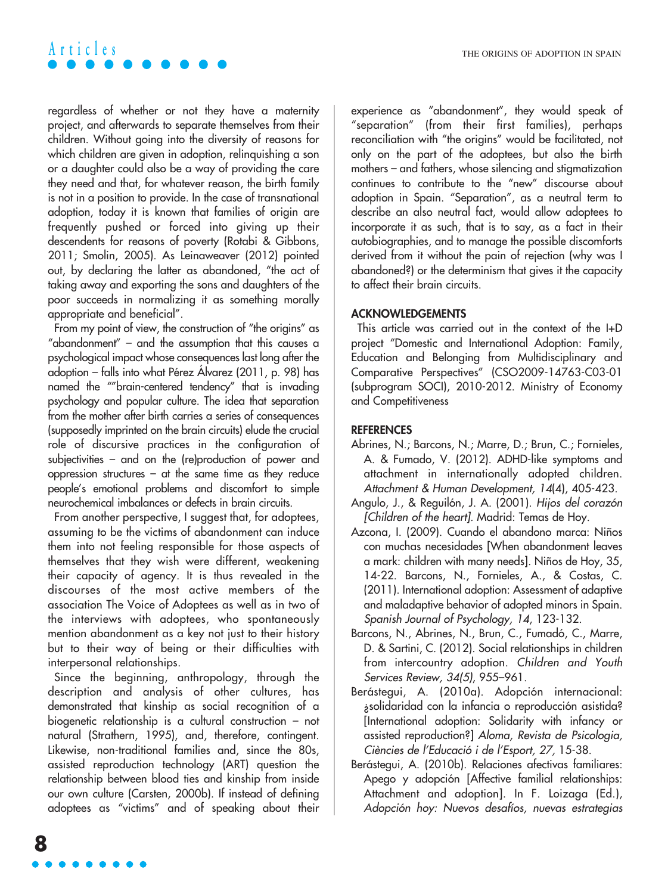regardless of whether or not they have a maternity project, and afterwards to separate themselves from their children. Without going into the diversity of reasons for which children are given in adoption, relinquishing a son or a daughter could also be a way of providing the care they need and that, for whatever reason, the birth family is not in a position to provide. In the case of transnational adoption, today it is known that families of origin are frequently pushed or forced into giving up their descendents for reasons of poverty (Rotabi & Gibbons, 2011; Smolin, 2005). As Leinaweaver (2012) pointed out, by declaring the latter as abandoned, "the act of taking away and exporting the sons and daughters of the poor succeeds in normalizing it as something morally appropriate and beneficial".

From my point of view, the construction of "the origins" as "abandonment" – and the assumption that this causes a psychological impact whose consequences last long after the adoption – falls into what Pérez Álvarez (2011, p. 98) has named the ""brain-centered tendency" that is invading psychology and popular culture. The idea that separation from the mother after birth carries a series of consequences (supposedly imprinted on the brain circuits) elude the crucial role of discursive practices in the configuration of subjectivities – and on the (re)production of power and oppression structures – at the same time as they reduce people's emotional problems and discomfort to simple neurochemical imbalances or defects in brain circuits.

From another perspective, I suggest that, for adoptees, assuming to be the victims of abandonment can induce them into not feeling responsible for those aspects of themselves that they wish were different, weakening their capacity of agency. It is thus revealed in the discourses of the most active members of the association The Voice of Adoptees as well as in two of the interviews with adoptees, who spontaneously mention abandonment as a key not just to their history but to their way of being or their difficulties with interpersonal relationships.

Since the beginning, anthropology, through the description and analysis of other cultures, has demonstrated that kinship as social recognition of a biogenetic relationship is a cultural construction – not natural (Strathern, 1995), and, therefore, contingent. Likewise, non-traditional families and, since the 80s, assisted reproduction technology (ART) question the relationship between blood ties and kinship from inside our own culture (Carsten, 2000b). If instead of defining adoptees as "victims" and of speaking about their experience as "abandonment", they would speak of "separation" (from their first families), perhaps reconciliation with "the origins" would be facilitated, not only on the part of the adoptees, but also the birth mothers – and fathers, whose silencing and stigmatization continues to contribute to the "new" discourse about adoption in Spain. "Separation", as a neutral term to describe an also neutral fact, would allow adoptees to incorporate it as such, that is to say, as a fact in their autobiographies, and to manage the possible discomforts derived from it without the pain of rejection (why was I abandoned?) or the determinism that gives it the capacity to affect their brain circuits.

#### **ACKNOWLEDGEMENTS**

This article was carried out in the context of the I+D project "Domestic and International Adoption: Family, Education and Belonging from Multidisciplinary and Comparative Perspectives" (CSO2009-14763-C03-01 (subprogram SOCI), 2010-2012. Ministry of Economy and Competitiveness

#### **REFERENCES**

- Abrines, N.; Barcons, N.; Marre, D.; Brun, C.; Fornieles, A. & Fumado, V. (2012). ADHD-like symptoms and attachment in internationally adopted children. Attachment & Human Development, 14(4), 405-423.
- Angulo, J., & Reguilón, J. A. (2001). Hijos del corazón [Children of the heart]. Madrid: Temas de Hoy.
- Azcona, I. (2009). Cuando el abandono marca: Niños con muchas necesidades [When abandonment leaves a mark: children with many needs]. Niños de Hoy, 35, 14-22. Barcons, N., Fornieles, A., & Costas, C. (2011). International adoption: Assessment of adaptive and maladaptive behavior of adopted minors in Spain. Spanish Journal of Psychology, 14, 123-132.
- Barcons, N., Abrines, N., Brun, C., Fumadó, C., Marre, D. & Sartini, C. (2012). Social relationships in children from intercountry adoption. Children and Youth Services Review, 34(5), 955–961.
- Berástegui, A. (2010a). Adopción internacional: ¿solidaridad con la infancia o reproducción asistida? [International adoption: Solidarity with infancy or assisted reproduction?] Aloma, Revista de Psicologia, Ciències de l'Educació i de l'Esport, 27, 15-38.
- Berástegui, A. (2010b). Relaciones afectivas familiares: Apego y adopción [Affective familial relationships: Attachment and adoption]. In F. Loizaga (Ed.), Adopción hoy: Nuevos desafíos, nuevas estrategias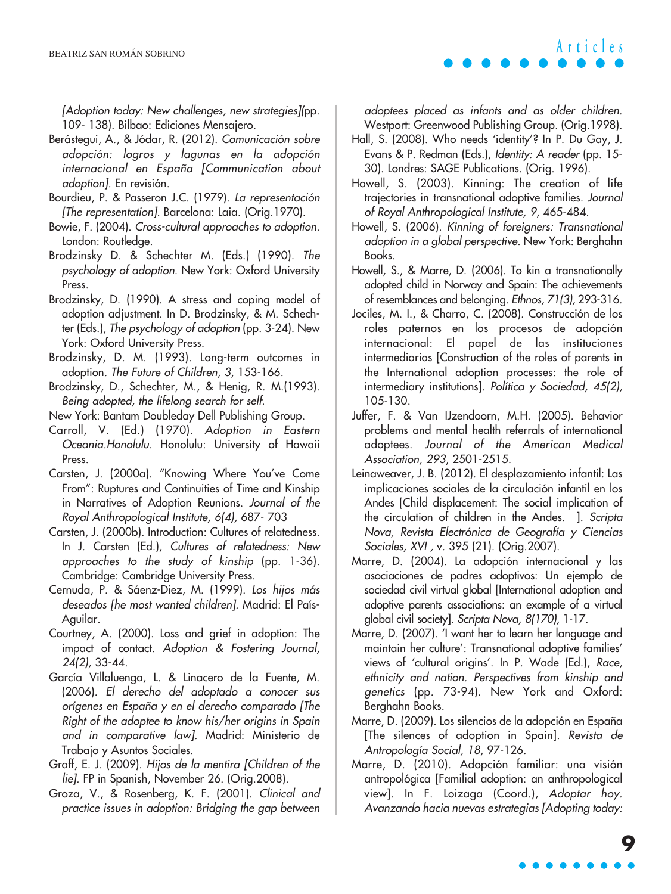[Adoption today: New challenges, new strategies](pp. 109- 138). Bilbao: Ediciones Mensajero.

- Berástegui, A., & Jódar, R. (2012). Comunicación sobre adopción: logros y lagunas en la adopción internacional en España [Communication about adoption]. En revisión.
- Bourdieu, P. & Passeron J.C. (1979). La representación [The representation]. Barcelona: Laia. (Orig.1970).
- Bowie, F. (2004). Cross-cultural approaches to adoption. London: Routledge.
- Brodzinsky D. & Schechter M. (Eds.) (1990). The psychology of adoption. New York: Oxford University Press.
- Brodzinsky, D. (1990). A stress and coping model of adoption adjustment. In D. Brodzinsky, & M. Schechter (Eds.), The psychology of adoption (pp. 3-24). New York: Oxford University Press.
- Brodzinsky, D. M. (1993). Long-term outcomes in adoption. The Future of Children, 3, 153-166.
- Brodzinsky, D., Schechter, M., & Henig, R. M.(1993). Being adopted, the lifelong search for self.
- New York: Bantam Doubleday Dell Publishing Group.
- Carroll, V. (Ed.) (1970). Adoption in Eastern Oceania.Honolulu. Honolulu: University of Hawaii Press.
- Carsten, J. (2000a). "Knowing Where You've Come From": Ruptures and Continuities of Time and Kinship in Narratives of Adoption Reunions. Journal of the Royal Anthropological Institute, 6(4), 687- 703
- Carsten, J. (2000b). Introduction: Cultures of relatedness. In J. Carsten (Ed.), Cultures of relatedness: New approaches to the study of kinship (pp. 1-36). Cambridge: Cambridge University Press.
- Cernuda, P. & Sáenz-Diez, M. (1999). Los hijos más deseados [he most wanted children]. Madrid: El País-Aguilar.
- Courtney, A. (2000). Loss and grief in adoption: The impact of contact. Adoption & Fostering Journal, 24(2), 33-44.
- García Villaluenga, L. & Linacero de la Fuente, M. (2006). El derecho del adoptado a conocer sus orígenes en España y en el derecho comparado [The Right of the adoptee to know his/her origins in Spain and in comparative law]. Madrid: Ministerio de Trabajo y Asuntos Sociales.
- Graff, E. J. (2009). Hijos de la mentira [Children of the lie]. FP in Spanish, November 26. (Orig.2008).
- Groza, V., & Rosenberg, K. F. (2001). Clinical and practice issues in adoption: Bridging the gap between

adoptees placed as infants and as older children. Westport: Greenwood Publishing Group. (Orig.1998).

- Hall, S. (2008). Who needs 'identity'? In P. Du Gay, J. Evans & P. Redman (Eds.), Identity: A reader (pp. 15- 30). Londres: SAGE Publications. (Orig. 1996).
- Howell, S. (2003). Kinning: The creation of life trajectories in transnational adoptive families. Journal of Royal Anthropological Institute, 9, 465-484.
- Howell, S. (2006). Kinning of foreigners: Transnational adoption in a global perspective. New York: Berghahn Books.
- Howell, S., & Marre, D. (2006). To kin a transnationally adopted child in Norway and Spain: The achievements of resemblances and belonging. Ethnos, 71(3), 293-316.
- Jociles, M. I., & Charro, C. (2008). Construcción de los roles paternos en los procesos de adopción internacional: El papel de las instituciones intermediarias [Construction of the roles of parents in the International adoption processes: the role of intermediary institutions]. Política y Sociedad, 45(2), 105-130.
- Juffer, F. & Van IJzendoorn, M.H. (2005). Behavior problems and mental health referrals of international adoptees. Journal of the American Medical Association, 293, 2501-2515.
- Leinaweaver, J. B. (2012). El desplazamiento infantil: Las implicaciones sociales de la circulación infantil en los Andes [Child displacement: The social implication of the circulation of children in the Andes. ]. Scripta Nova, Revista Electrónica de Geografía y Ciencias Sociales, XVI , v. 395 (21). (Orig.2007).
- Marre, D. (2004). La adopción internacional y las asociaciones de padres adoptivos: Un ejemplo de sociedad civil virtual global [International adoption and adoptive parents associations: an example of a virtual global civil society]. Scripta Nova, 8(170), 1-17.
- Marre, D. (2007). 'I want her to learn her language and maintain her culture': Transnational adoptive families' views of 'cultural origins'. In P. Wade (Ed.), Race, ethnicity and nation. Perspectives from kinship and genetics (pp. 73-94). New York and Oxford: Berghahn Books.
- Marre, D. (2009). Los silencios de la adopción en España [The silences of adoption in Spain]. Revista de Antropología Social, 18, 97-126.
- Marre, D. (2010). Adopción familiar: una visión antropológica [Familial adoption: an anthropological view]. In F. Loizaga (Coord.), Adoptar hoy. Avanzando hacia nuevas estrategias [Adopting today:

## **9**

**Articles**